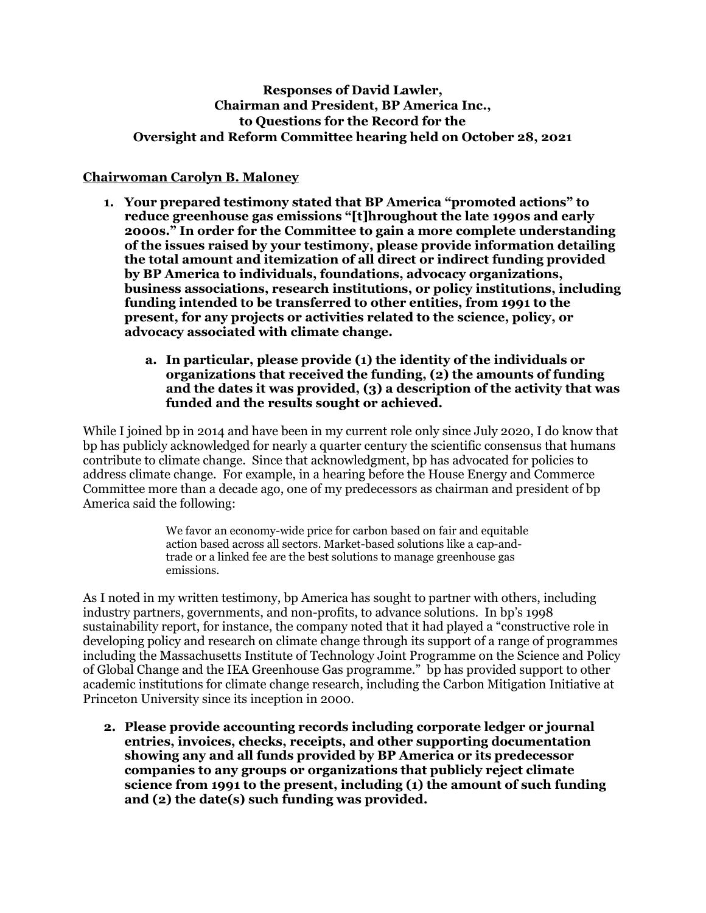## **Responses of David Lawler, Chairman and President, BP America Inc., to Questions for the Record for the Oversight and Reform Committee hearing held on October 28, 2021**

### **Chairwoman Carolyn B. Maloney**

- **1. Your prepared testimony stated that BP America "promoted actions" to reduce greenhouse gas emissions "[t]hroughout the late 1990s and early 2000s." In order for the Committee to gain a more complete understanding of the issues raised by your testimony, please provide information detailing the total amount and itemization of all direct or indirect funding provided by BP America to individuals, foundations, advocacy organizations, business associations, research institutions, or policy institutions, including funding intended to be transferred to other entities, from 1991 to the present, for any projects or activities related to the science, policy, or advocacy associated with climate change.** 
	- **a. In particular, please provide (1) the identity of the individuals or organizations that received the funding, (2) the amounts of funding and the dates it was provided, (3) a description of the activity that was funded and the results sought or achieved.**

While I joined bp in 2014 and have been in my current role only since July 2020, I do know that bp has publicly acknowledged for nearly a quarter century the scientific consensus that humans contribute to climate change. Since that acknowledgment, bp has advocated for policies to address climate change. For example, in a hearing before the House Energy and Commerce Committee more than a decade ago, one of my predecessors as chairman and president of bp America said the following:

> We favor an economy-wide price for carbon based on fair and equitable action based across all sectors. Market-based solutions like a cap-andtrade or a linked fee are the best solutions to manage greenhouse gas emissions.

As I noted in my written testimony, bp America has sought to partner with others, including industry partners, governments, and non-profits, to advance solutions. In bp's 1998 sustainability report, for instance, the company noted that it had played a "constructive role in developing policy and research on climate change through its support of a range of programmes including the Massachusetts Institute of Technology Joint Programme on the Science and Policy of Global Change and the IEA Greenhouse Gas programme." bp has provided support to other academic institutions for climate change research, including the Carbon Mitigation Initiative at Princeton University since its inception in 2000.

**2. Please provide accounting records including corporate ledger or journal entries, invoices, checks, receipts, and other supporting documentation showing any and all funds provided by BP America or its predecessor companies to any groups or organizations that publicly reject climate science from 1991 to the present, including (1) the amount of such funding and (2) the date(s) such funding was provided.**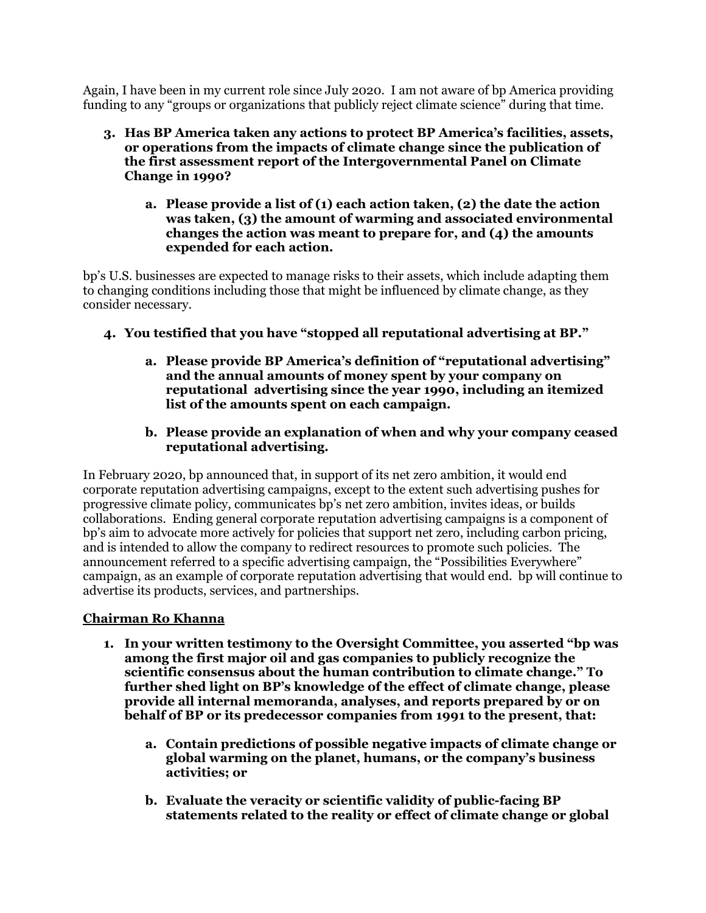Again, I have been in my current role since July 2020. I am not aware of bp America providing funding to any "groups or organizations that publicly reject climate science" during that time.

- **3. Has BP America taken any actions to protect BP America's facilities, assets, or operations from the impacts of climate change since the publication of the first assessment report of the Intergovernmental Panel on Climate Change in 1990?** 
	- **a. Please provide a list of (1) each action taken, (2) the date the action was taken, (3) the amount of warming and associated environmental changes the action was meant to prepare for, and (4) the amounts expended for each action.**

bp's U.S. businesses are expected to manage risks to their assets, which include adapting them to changing conditions including those that might be influenced by climate change, as they consider necessary.

- **4. You testified that you have "stopped all reputational advertising at BP."** 
	- **a. Please provide BP America's definition of "reputational advertising" and the annual amounts of money spent by your company on reputational advertising since the year 1990, including an itemized list of the amounts spent on each campaign.**
	- **b. Please provide an explanation of when and why your company ceased reputational advertising.**

In February 2020, bp announced that, in support of its net zero ambition, it would end corporate reputation advertising campaigns, except to the extent such advertising pushes for progressive climate policy, communicates bp's net zero ambition, invites ideas, or builds collaborations. Ending general corporate reputation advertising campaigns is a component of bp's aim to advocate more actively for policies that support net zero, including carbon pricing, and is intended to allow the company to redirect resources to promote such policies. The announcement referred to a specific advertising campaign, the "Possibilities Everywhere" campaign, as an example of corporate reputation advertising that would end. bp will continue to advertise its products, services, and partnerships.

# **Chairman Ro Khanna**

- **1. In your written testimony to the Oversight Committee, you asserted "bp was among the first major oil and gas companies to publicly recognize the scientific consensus about the human contribution to climate change." To further shed light on BP's knowledge of the effect of climate change, please provide all internal memoranda, analyses, and reports prepared by or on behalf of BP or its predecessor companies from 1991 to the present, that:** 
	- **a. Contain predictions of possible negative impacts of climate change or global warming on the planet, humans, or the company's business activities; or**
	- **b. Evaluate the veracity or scientific validity of public-facing BP statements related to the reality or effect of climate change or global**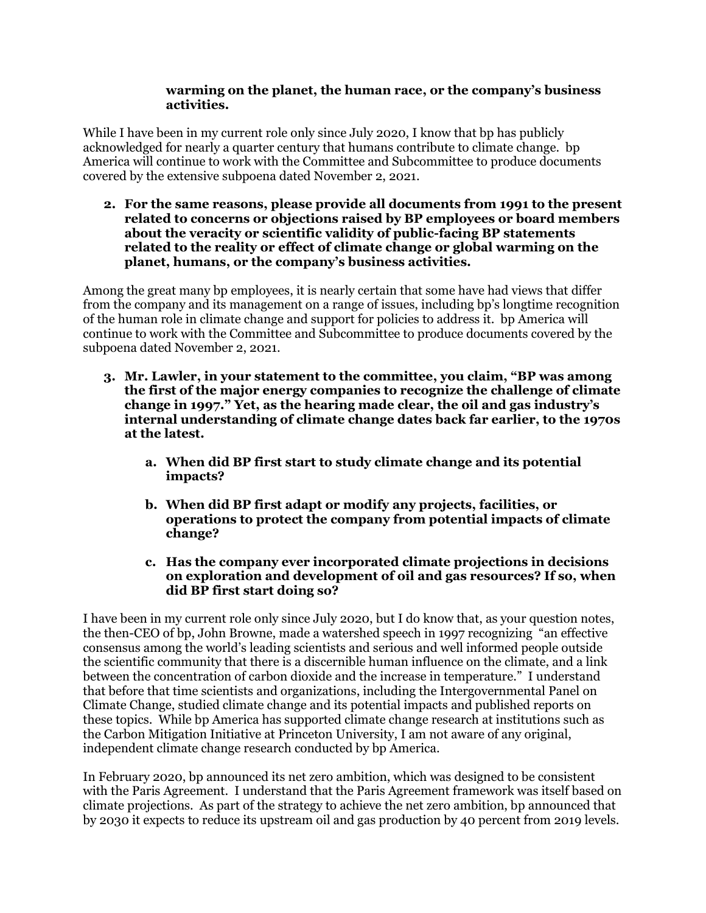#### **warming on the planet, the human race, or the company's business activities.**

While I have been in my current role only since July 2020, I know that bp has publicly acknowledged for nearly a quarter century that humans contribute to climate change. bp America will continue to work with the Committee and Subcommittee to produce documents covered by the extensive subpoena dated November 2, 2021.

**2. For the same reasons, please provide all documents from 1991 to the present related to concerns or objections raised by BP employees or board members about the veracity or scientific validity of public-facing BP statements related to the reality or effect of climate change or global warming on the planet, humans, or the company's business activities.** 

Among the great many bp employees, it is nearly certain that some have had views that differ from the company and its management on a range of issues, including bp's longtime recognition of the human role in climate change and support for policies to address it. bp America will continue to work with the Committee and Subcommittee to produce documents covered by the subpoena dated November 2, 2021.

- **3. Mr. Lawler, in your statement to the committee, you claim, "BP was among the first of the major energy companies to recognize the challenge of climate change in 1997." Yet, as the hearing made clear, the oil and gas industry's internal understanding of climate change dates back far earlier, to the 1970s at the latest.** 
	- **a. When did BP first start to study climate change and its potential impacts?**
	- **b. When did BP first adapt or modify any projects, facilities, or operations to protect the company from potential impacts of climate change?**
	- **c. Has the company ever incorporated climate projections in decisions on exploration and development of oil and gas resources? If so, when did BP first start doing so?**

I have been in my current role only since July 2020, but I do know that, as your question notes, the then-CEO of bp, John Browne, made a watershed speech in 1997 recognizing "an effective consensus among the world's leading scientists and serious and well informed people outside the scientific community that there is a discernible human influence on the climate, and a link between the concentration of carbon dioxide and the increase in temperature." I understand that before that time scientists and organizations, including the Intergovernmental Panel on Climate Change, studied climate change and its potential impacts and published reports on these topics. While bp America has supported climate change research at institutions such as the Carbon Mitigation Initiative at Princeton University, I am not aware of any original, independent climate change research conducted by bp America.

In February 2020, bp announced its net zero ambition, which was designed to be consistent with the Paris Agreement. I understand that the Paris Agreement framework was itself based on climate projections. As part of the strategy to achieve the net zero ambition, bp announced that by 2030 it expects to reduce its upstream oil and gas production by 40 percent from 2019 levels.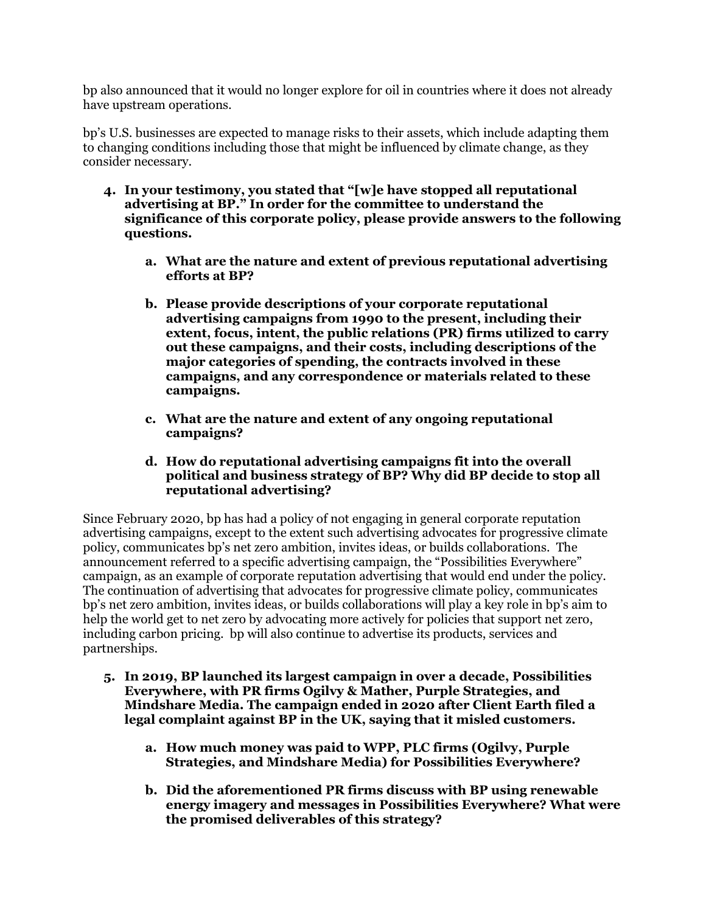bp also announced that it would no longer explore for oil in countries where it does not already have upstream operations.

bp's U.S. businesses are expected to manage risks to their assets, which include adapting them to changing conditions including those that might be influenced by climate change, as they consider necessary.

- **4. In your testimony, you stated that "[w]e have stopped all reputational advertising at BP." In order for the committee to understand the significance of this corporate policy, please provide answers to the following questions.** 
	- **a. What are the nature and extent of previous reputational advertising efforts at BP?**
	- **b. Please provide descriptions of your corporate reputational advertising campaigns from 1990 to the present, including their extent, focus, intent, the public relations (PR) firms utilized to carry out these campaigns, and their costs, including descriptions of the major categories of spending, the contracts involved in these campaigns, and any correspondence or materials related to these campaigns.**
	- **c. What are the nature and extent of any ongoing reputational campaigns?**
	- **d. How do reputational advertising campaigns fit into the overall political and business strategy of BP? Why did BP decide to stop all reputational advertising?**

Since February 2020, bp has had a policy of not engaging in general corporate reputation advertising campaigns, except to the extent such advertising advocates for progressive climate policy, communicates bp's net zero ambition, invites ideas, or builds collaborations. The announcement referred to a specific advertising campaign, the "Possibilities Everywhere" campaign, as an example of corporate reputation advertising that would end under the policy. The continuation of advertising that advocates for progressive climate policy, communicates bp's net zero ambition, invites ideas, or builds collaborations will play a key role in bp's aim to help the world get to net zero by advocating more actively for policies that support net zero, including carbon pricing. bp will also continue to advertise its products, services and partnerships.

- **5. In 2019, BP launched its largest campaign in over a decade, Possibilities Everywhere, with PR firms Ogilvy & Mather, Purple Strategies, and Mindshare Media. The campaign ended in 2020 after Client Earth filed a legal complaint against BP in the UK, saying that it misled customers.** 
	- **a. How much money was paid to WPP, PLC firms (Ogilvy, Purple Strategies, and Mindshare Media) for Possibilities Everywhere?**
	- **b. Did the aforementioned PR firms discuss with BP using renewable energy imagery and messages in Possibilities Everywhere? What were the promised deliverables of this strategy?**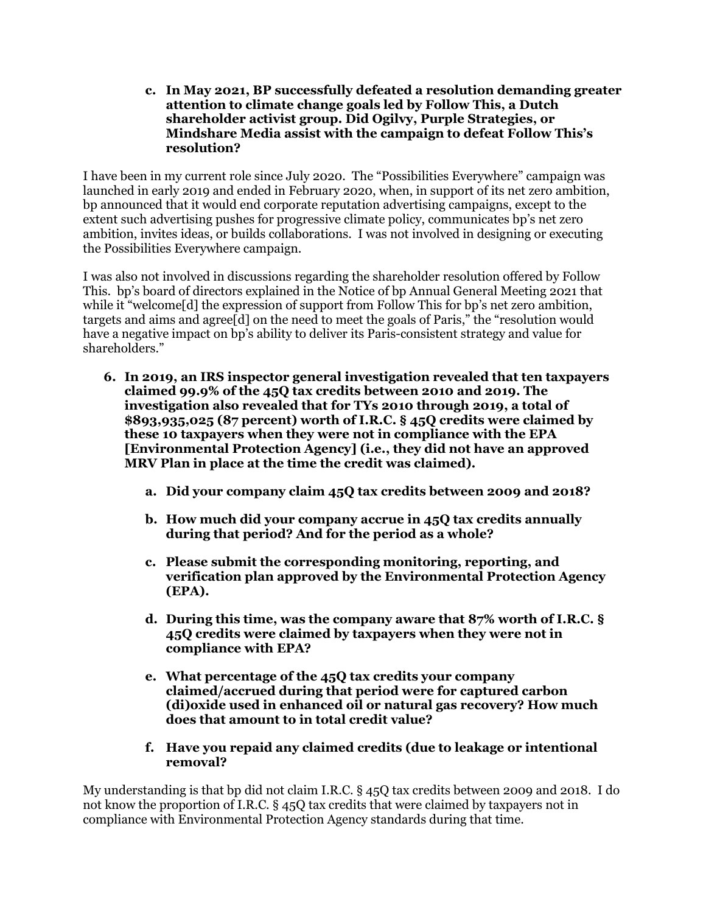**c. In May 2021, BP successfully defeated a resolution demanding greater attention to climate change goals led by Follow This, a Dutch shareholder activist group. Did Ogilvy, Purple Strategies, or Mindshare Media assist with the campaign to defeat Follow This's resolution?** 

I have been in my current role since July 2020. The "Possibilities Everywhere" campaign was launched in early 2019 and ended in February 2020, when, in support of its net zero ambition, bp announced that it would end corporate reputation advertising campaigns, except to the extent such advertising pushes for progressive climate policy, communicates bp's net zero ambition, invites ideas, or builds collaborations. I was not involved in designing or executing the Possibilities Everywhere campaign.

I was also not involved in discussions regarding the shareholder resolution offered by Follow This. bp's board of directors explained in the Notice of bp Annual General Meeting 2021 that while it "welcome<sup>[d]</sup> the expression of support from Follow This for bp's net zero ambition, targets and aims and agree[d] on the need to meet the goals of Paris," the "resolution would have a negative impact on bp's ability to deliver its Paris-consistent strategy and value for shareholders."

- **6. In 2019, an IRS inspector general investigation revealed that ten taxpayers claimed 99.9% of the 45Q tax credits between 2010 and 2019. The investigation also revealed that for TYs 2010 through 2019, a total of \$893,935,025 (87 percent) worth of I.R.C. § 45Q credits were claimed by these 10 taxpayers when they were not in compliance with the EPA [Environmental Protection Agency] (i.e., they did not have an approved MRV Plan in place at the time the credit was claimed).** 
	- **a. Did your company claim 45Q tax credits between 2009 and 2018?**
	- **b. How much did your company accrue in 45Q tax credits annually during that period? And for the period as a whole?**
	- **c. Please submit the corresponding monitoring, reporting, and verification plan approved by the Environmental Protection Agency (EPA).**
	- **d. During this time, was the company aware that 87% worth of I.R.C. § 45Q credits were claimed by taxpayers when they were not in compliance with EPA?**
	- **e. What percentage of the 45Q tax credits your company claimed/accrued during that period were for captured carbon (di)oxide used in enhanced oil or natural gas recovery? How much does that amount to in total credit value?**
	- **f. Have you repaid any claimed credits (due to leakage or intentional removal?**

My understanding is that bp did not claim I.R.C. § 45Q tax credits between 2009 and 2018. I do not know the proportion of I.R.C. § 45Q tax credits that were claimed by taxpayers not in compliance with Environmental Protection Agency standards during that time.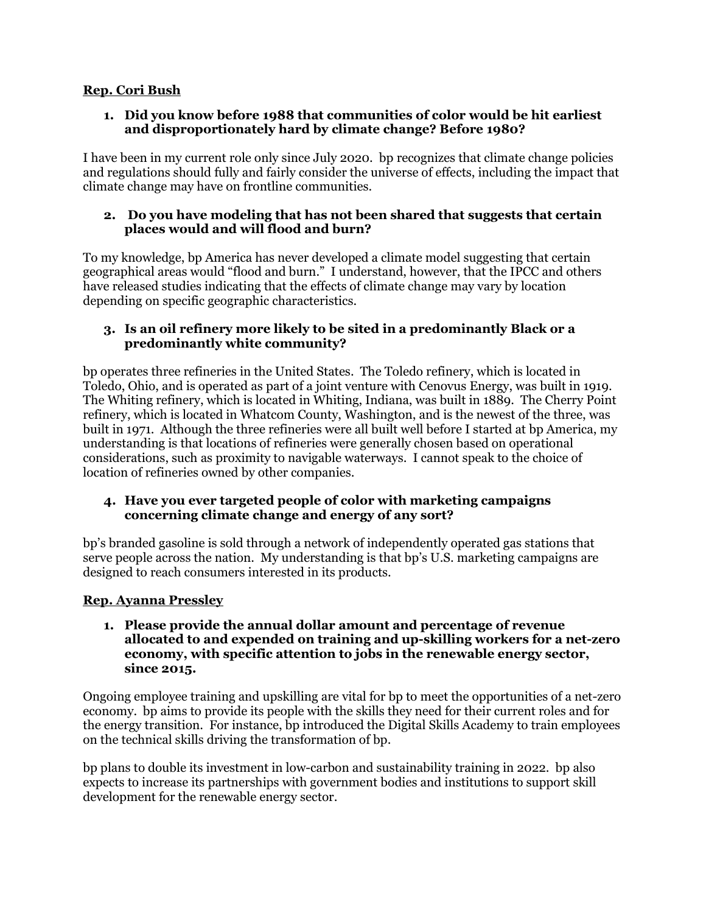## **Rep. Cori Bush**

## **1. Did you know before 1988 that communities of color would be hit earliest and disproportionately hard by climate change? Before 1980?**

I have been in my current role only since July 2020. bp recognizes that climate change policies and regulations should fully and fairly consider the universe of effects, including the impact that climate change may have on frontline communities.

## **2. Do you have modeling that has not been shared that suggests that certain places would and will flood and burn?**

To my knowledge, bp America has never developed a climate model suggesting that certain geographical areas would "flood and burn." I understand, however, that the IPCC and others have released studies indicating that the effects of climate change may vary by location depending on specific geographic characteristics.

## **3. Is an oil refinery more likely to be sited in a predominantly Black or a predominantly white community?**

bp operates three refineries in the United States. The Toledo refinery, which is located in Toledo, Ohio, and is operated as part of a joint venture with Cenovus Energy, was built in 1919. The Whiting refinery, which is located in Whiting, Indiana, was built in 1889. The Cherry Point refinery, which is located in Whatcom County, Washington, and is the newest of the three, was built in 1971. Although the three refineries were all built well before I started at bp America, my understanding is that locations of refineries were generally chosen based on operational considerations, such as proximity to navigable waterways. I cannot speak to the choice of location of refineries owned by other companies.

## **4. Have you ever targeted people of color with marketing campaigns concerning climate change and energy of any sort?**

bp's branded gasoline is sold through a network of independently operated gas stations that serve people across the nation. My understanding is that bp's U.S. marketing campaigns are designed to reach consumers interested in its products.

# **Rep. Ayanna Pressley**

#### **1. Please provide the annual dollar amount and percentage of revenue allocated to and expended on training and up-skilling workers for a net-zero economy, with specific attention to jobs in the renewable energy sector, since 2015.**

Ongoing employee training and upskilling are vital for bp to meet the opportunities of a net-zero economy. bp aims to provide its people with the skills they need for their current roles and for the energy transition. For instance, bp introduced the Digital Skills Academy to train employees on the technical skills driving the transformation of bp.

bp plans to double its investment in low-carbon and sustainability training in 2022. bp also expects to increase its partnerships with government bodies and institutions to support skill development for the renewable energy sector.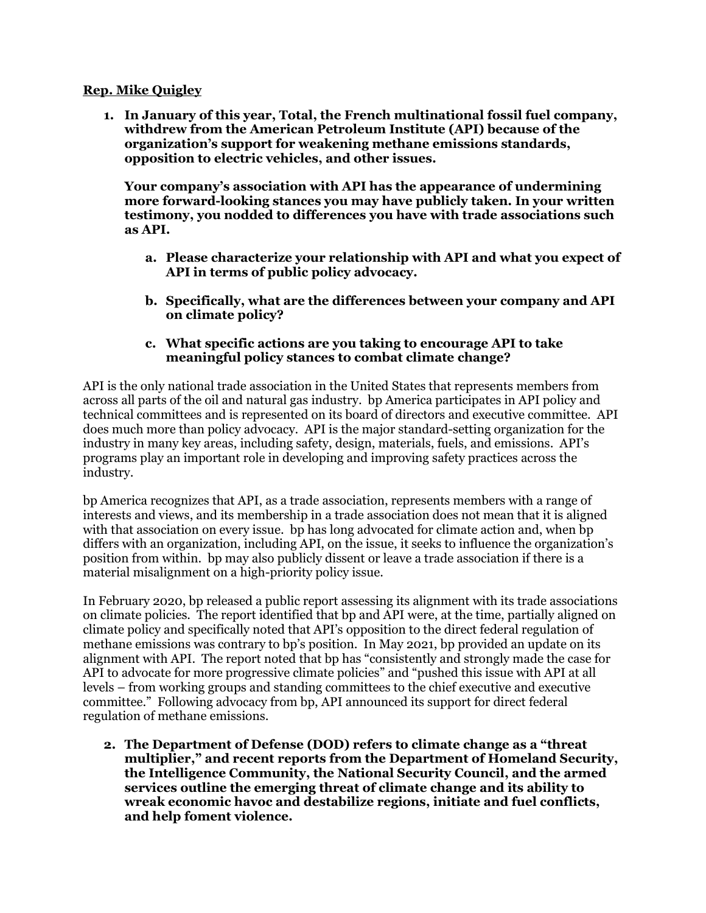#### **Rep. Mike Quigley**

**1. In January of this year, Total, the French multinational fossil fuel company, withdrew from the American Petroleum Institute (API) because of the organization's support for weakening methane emissions standards, opposition to electric vehicles, and other issues.** 

**Your company's association with API has the appearance of undermining more forward-looking stances you may have publicly taken. In your written testimony, you nodded to differences you have with trade associations such as API.** 

- **a. Please characterize your relationship with API and what you expect of API in terms of public policy advocacy.**
- **b. Specifically, what are the differences between your company and API on climate policy?**
- **c. What specific actions are you taking to encourage API to take meaningful policy stances to combat climate change?**

API is the only national trade association in the United States that represents members from across all parts of the oil and natural gas industry. bp America participates in API policy and technical committees and is represented on its board of directors and executive committee. API does much more than policy advocacy. API is the major standard-setting organization for the industry in many key areas, including safety, design, materials, fuels, and emissions. API's programs play an important role in developing and improving safety practices across the industry.

bp America recognizes that API, as a trade association, represents members with a range of interests and views, and its membership in a trade association does not mean that it is aligned with that association on every issue. bp has long advocated for climate action and, when bp differs with an organization, including API, on the issue, it seeks to influence the organization's position from within. bp may also publicly dissent or leave a trade association if there is a material misalignment on a high-priority policy issue.

In February 2020, bp released a public report assessing its alignment with its trade associations on climate policies. The report identified that bp and API were, at the time, partially aligned on climate policy and specifically noted that API's opposition to the direct federal regulation of methane emissions was contrary to bp's position. In May 2021, bp provided an update on its alignment with API. The report noted that bp has "consistently and strongly made the case for API to advocate for more progressive climate policies" and "pushed this issue with API at all levels – from working groups and standing committees to the chief executive and executive committee." Following advocacy from bp, API announced its support for direct federal regulation of methane emissions.

**2. The Department of Defense (DOD) refers to climate change as a "threat multiplier," and recent reports from the Department of Homeland Security, the Intelligence Community, the National Security Council, and the armed services outline the emerging threat of climate change and its ability to wreak economic havoc and destabilize regions, initiate and fuel conflicts, and help foment violence.**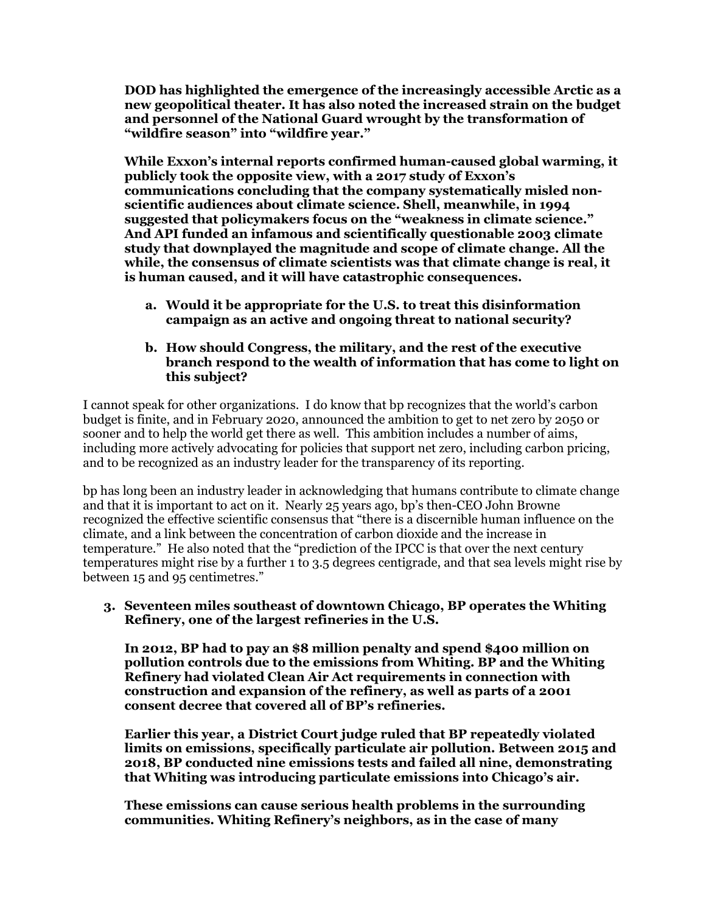**DOD has highlighted the emergence of the increasingly accessible Arctic as a new geopolitical theater. It has also noted the increased strain on the budget and personnel of the National Guard wrought by the transformation of "wildfire season" into "wildfire year."** 

**While Exxon's internal reports confirmed human-caused global warming, it publicly took the opposite view, with a 2017 study of Exxon's communications concluding that the company systematically misled nonscientific audiences about climate science. Shell, meanwhile, in 1994 suggested that policymakers focus on the "weakness in climate science." And API funded an infamous and scientifically questionable 2003 climate study that downplayed the magnitude and scope of climate change. All the while, the consensus of climate scientists was that climate change is real, it is human caused, and it will have catastrophic consequences.** 

- **a. Would it be appropriate for the U.S. to treat this disinformation campaign as an active and ongoing threat to national security?**
- **b. How should Congress, the military, and the rest of the executive branch respond to the wealth of information that has come to light on this subject?**

I cannot speak for other organizations. I do know that bp recognizes that the world's carbon budget is finite, and in February 2020, announced the ambition to get to net zero by 2050 or sooner and to help the world get there as well. This ambition includes a number of aims, including more actively advocating for policies that support net zero, including carbon pricing, and to be recognized as an industry leader for the transparency of its reporting.

bp has long been an industry leader in acknowledging that humans contribute to climate change and that it is important to act on it. Nearly 25 years ago, bp's then-CEO John Browne recognized the effective scientific consensus that "there is a discernible human influence on the climate, and a link between the concentration of carbon dioxide and the increase in temperature." He also noted that the "prediction of the IPCC is that over the next century temperatures might rise by a further 1 to 3.5 degrees centigrade, and that sea levels might rise by between 15 and 95 centimetres."

**3. Seventeen miles southeast of downtown Chicago, BP operates the Whiting Refinery, one of the largest refineries in the U.S.** 

**In 2012, BP had to pay an \$8 million penalty and spend \$400 million on pollution controls due to the emissions from Whiting. BP and the Whiting Refinery had violated Clean Air Act requirements in connection with construction and expansion of the refinery, as well as parts of a 2001 consent decree that covered all of BP's refineries.** 

**Earlier this year, a District Court judge ruled that BP repeatedly violated limits on emissions, specifically particulate air pollution. Between 2015 and 2018, BP conducted nine emissions tests and failed all nine, demonstrating that Whiting was introducing particulate emissions into Chicago's air.** 

**These emissions can cause serious health problems in the surrounding communities. Whiting Refinery's neighbors, as in the case of many**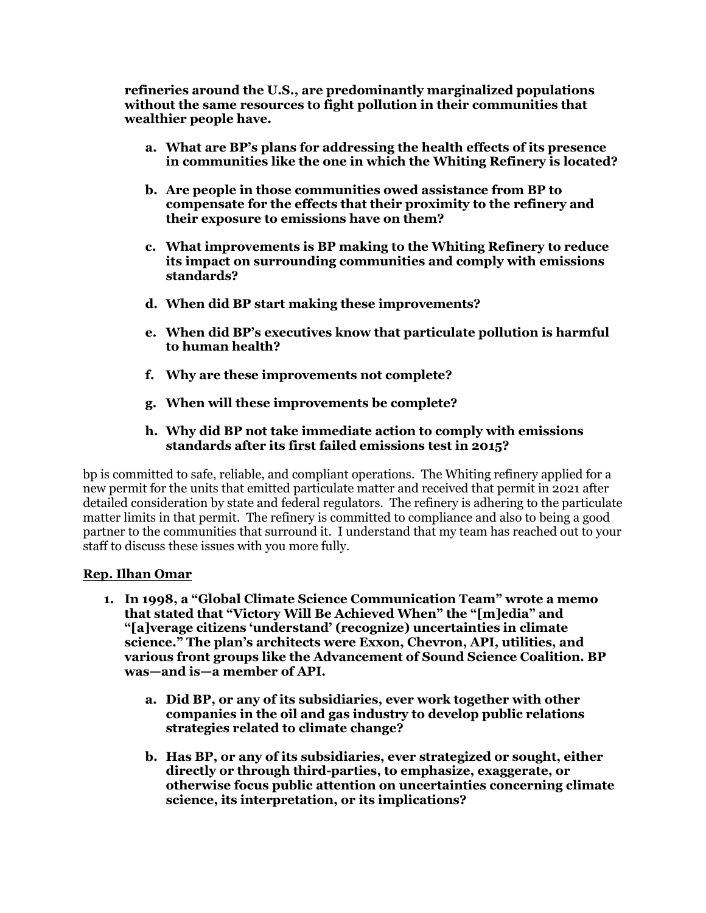**refineries around the U.S., are predominantly marginalized populations without the same resources to fight pollution in their communities that wealthier people have.** 

- **a. What are BP's plans for addressing the health effects of its presence in communities like the one in which the Whiting Refinery is located?**
- **b. Are people in those communities owed assistance from BP to compensate for the effects that their proximity to the refinery and their exposure to emissions have on them?**
- **c. What improvements is BP making to the Whiting Refinery to reduce its impact on surrounding communities and comply with emissions standards?**
- **d. When did BP start making these improvements?**
- **e. When did BP's executives know that particulate pollution is harmful to human health?**
- **f. Why are these improvements not complete?**
- **g. When will these improvements be complete?**

### **h. Why did BP not take immediate action to comply with emissions standards after its first failed emissions test in 2015?**

bp is committed to safe, reliable, and compliant operations. The Whiting refinery applied for a new permit for the units that emitted particulate matter and received that permit in 2021 after detailed consideration by state and federal regulators. The refinery is adhering to the particulate matter limits in that permit. The refinery is committed to compliance and also to being a good partner to the communities that surround it. I understand that my team has reached out to your staff to discuss these issues with you more fully.

#### **Rep. Ilhan Omar**

- **1. In 1998, a "Global Climate Science Communication Team" wrote a memo that stated that "Victory Will Be Achieved When" the "[m]edia" and "[a]verage citizens 'understand' (recognize) uncertainties in climate science." The plan's architects were Exxon, Chevron, API, utilities, and various front groups like the Advancement of Sound Science Coalition. BP was—and is—a member of API.** 
	- **a. Did BP, or any of its subsidiaries, ever work together with other companies in the oil and gas industry to develop public relations strategies related to climate change?**
	- **b. Has BP, or any of its subsidiaries, ever strategized or sought, either directly or through third-parties, to emphasize, exaggerate, or otherwise focus public attention on uncertainties concerning climate science, its interpretation, or its implications?**